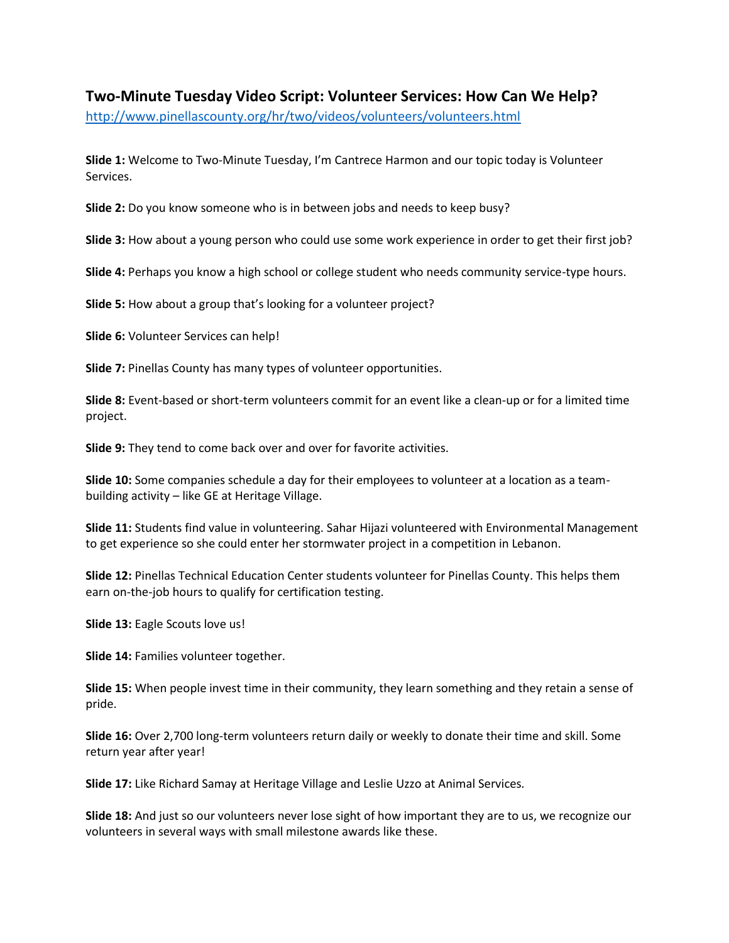## **Two-Minute Tuesday Video Script: Volunteer Services: How Can We Help?**

http://www.pinellascounty.org/hr/two/videos/volunteers/volunteers.html

**Slide 1:** Welcome to Two-Minute Tuesday, I'm Cantrece Harmon and our topic today is Volunteer Services.

**Slide 2:** Do you know someone who is in between jobs and needs to keep busy?

**Slide 3:** How about a young person who could use some work experience in order to get their first job?

**Slide 4:** Perhaps you know a high school or college student who needs community service-type hours.

**Slide 5:** How about a group that's looking for a volunteer project?

**Slide 6:** Volunteer Services can help!

**Slide 7:** Pinellas County has many types of volunteer opportunities.

**Slide 8:** Event-based or short-term volunteers commit for an event like a clean-up or for a limited time project.

**Slide 9:** They tend to come back over and over for favorite activities.

**Slide 10:** Some companies schedule a day for their employees to volunteer at a location as a teambuilding activity – like GE at Heritage Village.

**Slide 11:** Students find value in volunteering. Sahar Hijazi volunteered with Environmental Management to get experience so she could enter her stormwater project in a competition in Lebanon.

**Slide 12:** Pinellas Technical Education Center students volunteer for Pinellas County. This helps them earn on-the-job hours to qualify for certification testing.

**Slide 13: Eagle Scouts love us!** 

**Slide 14:** Families volunteer together.

**Slide 15:** When people invest time in their community, they learn something and they retain a sense of pride.

**Slide 16:** Over 2,700 long-term volunteers return daily or weekly to donate their time and skill. Some return year after year!

**Slide 17:** Like Richard Samay at Heritage Village and Leslie Uzzo at Animal Services.

**Slide 18:** And just so our volunteers never lose sight of how important they are to us, we recognize our volunteers in several ways with small milestone awards like these.